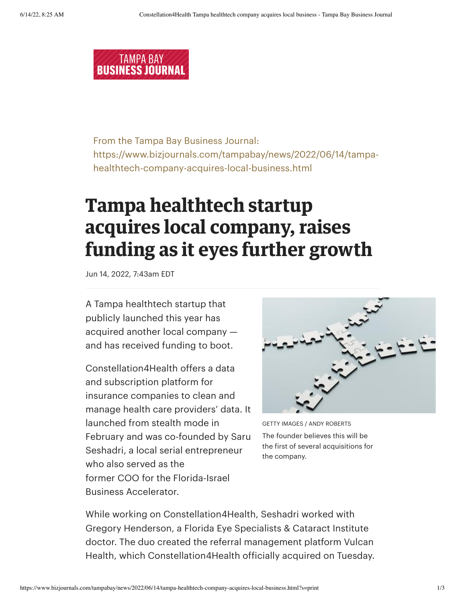

From the Tampa Bay Business Journal: From the Tampa Bay Business Journal: https://www.bizjournals.com/tampabay/news/2022/06/14/tampa-https://www.bizjournals.com/tampabay/news/2022/06/14/tampahealthtech-company-acquires-local-business.html healthtech-company-acquires-local-business.html

## **Tampa healthtech startup Tampa healthtech startup acquires local company, raises acquires local company, raises funding as it eyes further growth funding as it eyes further growth**

Jun 14, 2022, 7:43am EDT Jun 14, 2022, 7:43am EDT

A Tampa healthtech startup that A Tampa healthtech startup that publicly launched this year has publicly launched this year has acquired another local company — acquired another local company and has received funding to boot. and has received funding to boot.

Constellation4Health offers a data Constellation4Health offers a data and subscription platform for and subscription platform for insurance companies to clean and insurance companies toclean and manage health care providers' data. It manage health care providers' data. It launched from stealth mode in launched from stealth mode in February and was co-founded by Saru February and was co-founded by Saru Seshadri, a local serial entrepreneur Seshadri, a local serial entrepreneur who also served as the who also served as the former COO for the Florida-Israel former COO for the Florida-Israel Business Accelerator. Business Accelerator.



GETTY IMAGES / ANDY ROBERTS GETTY IMAGES / ANDY ROBERTS The founder believes this will be the first of several acquisitions for the first of several acquisitions for the company. the company.

While working on Constellation4Health, Seshadri worked with While working on Constellation4Health, Seshadri worked with Gregory Henderson, a Florida Eye Specialists & Cataract Institute Gregory Henderson, a Florida Eye Specialists & Cataract Institute doctor. The duo created the referral management platform Vulcan doctor. The duo created the referral management platform Vulcan Health, which Constellation4Health officially acquired on Tuesday. Health, which Constellation4Health officially acquired on Tuesday.